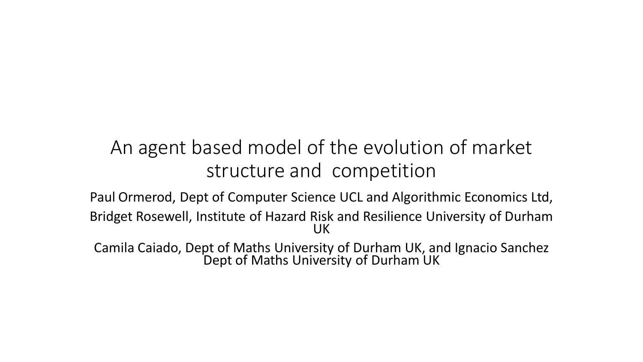## An agent based model of the evolution of market structure and competition

Paul Ormerod, Dept of Computer Science UCL and Algorithmic Economics Ltd, Bridget Rosewell, Institute of Hazard Risk and Resilience University of Durham UK

Camila Caiado, Dept of Maths University of Durham UK, and Ignacio Sanchez Dept of Maths University of Durham UK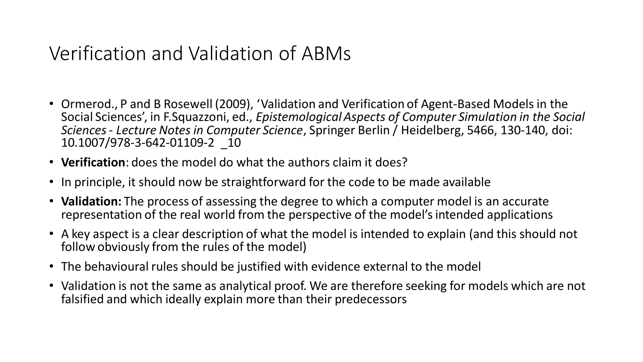## Verification and Validation of ABMs

- Ormerod., P and B Rosewell (2009), 'Validation and Verification of Agent-Based Models in the Social Sciences', in F.Squazzoni, ed., *Epistemological Aspects of Computer Simulation in the Social Sciences - Lecture Notes in Computer Science*, Springer Berlin / Heidelberg, 5466, 130-140, doi: 10.1007/978-3-642-01109-2 \_10
- **Verification**: does the model do what the authors claim it does?
- In principle, it should now be straightforward for the code to be made available
- **Validation:** The process of assessing the degree to which a computer model is an accurate representation of the real world from the perspective of the model's intended applications
- A key aspect is a clear description of what the model is intended to explain (and this should not follow obviously from the rules of the model)
- The behavioural rules should be justified with evidence external to the model
- Validation is not the same as analytical proof. We are therefore seeking for models which are not falsified and which ideally explain more than their predecessors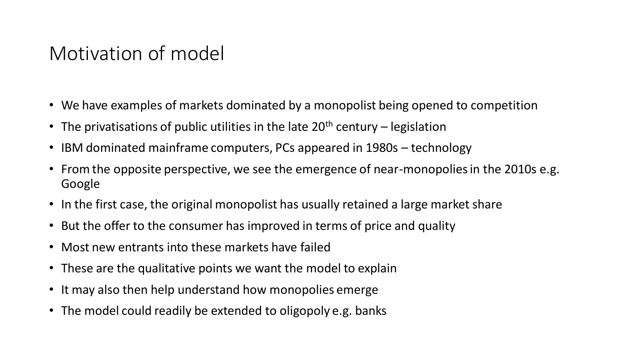### Motivation of model

- We have examples of markets dominated by a monopolist being opened to competition
- The privatisations of public utilities in the late  $20<sup>th</sup>$  century legislation
- IBM dominated mainframe computers, PCs appeared in 1980s technology
- From the opposite perspective, we see the emergence of near-monopolies in the 2010s e.g. Google
- In the first case, the original monopolist has usually retained a large market share
- But the offer to the consumer has improved in terms of price and quality
- Most new entrants into these markets have failed
- These are the qualitative points we want the model to explain
- It may also then help understand how monopolies emerge
- The model could readily be extended to oligopoly e.g. banks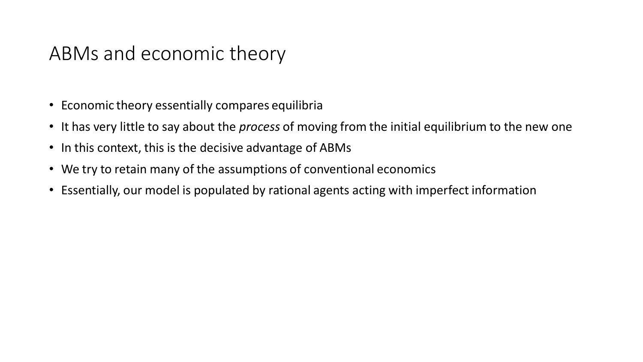### ABMs and economic theory

- Economic theory essentially compares equilibria
- It has very little to say about the *process* of moving from the initial equilibrium to the new one
- In this context, this is the decisive advantage of ABMs
- We try to retain many of the assumptions of conventional economics
- Essentially, our model is populated by rational agents acting with imperfect information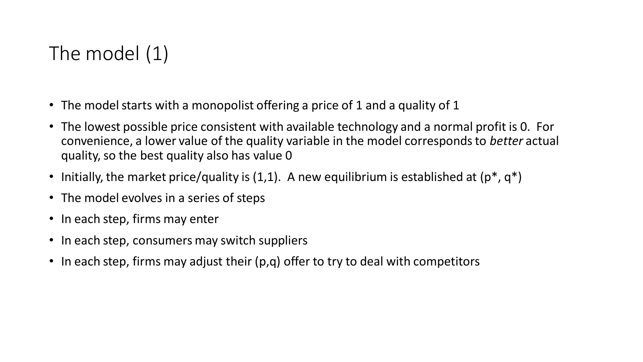## The model (1)

- The model starts with a monopolist offering a price of 1 and a quality of 1
- The lowest possible price consistent with available technology and a normal profit is 0. For convenience, a lower value of the quality variable in the model corresponds to *better* actual quality, so the best quality also has value 0
- Initially, the market price/quality is  $(1,1)$ . A new equilibrium is established at  $(p^*, q^*)$
- The model evolves in a series of steps
- In each step, firms may enter
- In each step, consumers may switch suppliers
- In each step, firms may adjust their (p,q) offer to try to deal with competitors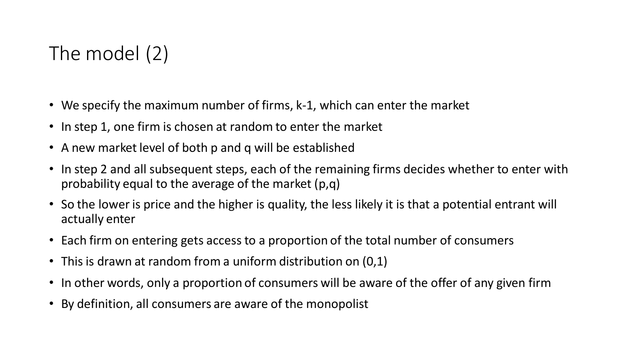# The model (2)

- We specify the maximum number of firms, k-1, which can enter the market
- In step 1, one firm is chosen at random to enter the market
- A new market level of both p and q will be established
- In step 2 and all subsequent steps, each of the remaining firms decides whether to enter with probability equal to the average of the market (p,q)
- So the lower is price and the higher is quality, the less likely it is that a potential entrant will actually enter
- Each firm on entering gets access to a proportion of the total number of consumers
- This is drawn at random from a uniform distribution on (0,1)
- In other words, only a proportion of consumers will be aware of the offer of any given firm
- By definition, all consumers are aware of the monopolist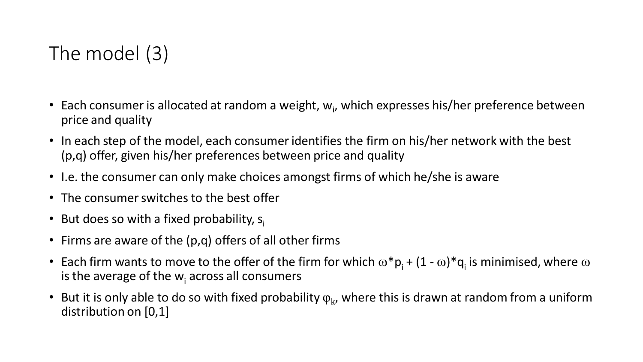# The model (3)

- Each consumer is allocated at random a weight,  $w_i$ , which expresses his/her preference between price and quality
- In each step of the model, each consumer identifies the firm on his/her network with the best (p,q) offer, given his/her preferences between price and quality
- I.e. the consumer can only make choices amongst firms of which he/she is aware
- The consumer switches to the best offer
- But does so with a fixed probability,  $s_i$
- Firms are aware of the (p,q) offers of all other firms
- Each firm wants to move to the offer of the firm for which  $\omega^* p_i + (1 \omega)^* q_i$  is minimised, where  $\omega$ is the average of the  $w_i$  across all consumers
- But it is only able to do so with fixed probability  $\varphi_{\rm k}$ , where this is drawn at random from a uniform distribution on [0,1]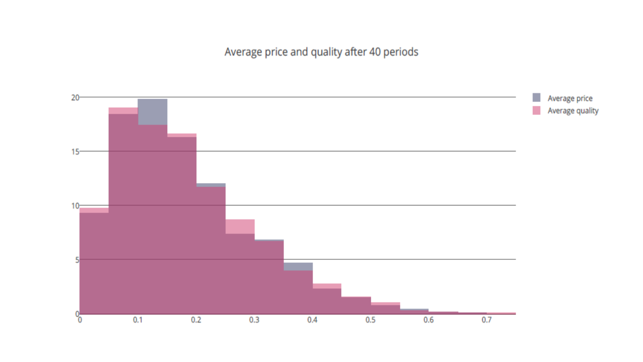Average price and quality after 40 periods

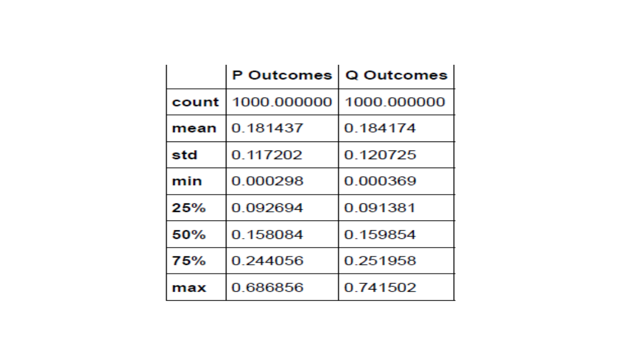|       | <b>P</b> Outcomes | Q Outcomes  |
|-------|-------------------|-------------|
| count | 1000 000000       | 1000.000000 |
| mean  | 0 181437          | 0 184174    |
| std   | 0.117202          | 0 120725    |
| min   | 0 000298          | 0.000369    |
| 25%   | 0 092694          | 0.091381    |
| 50%   | 0 158084          | 0 159854    |
| 75%   | 0 244056          | 0 251958    |
| max   | 0.686856          | 0 741502    |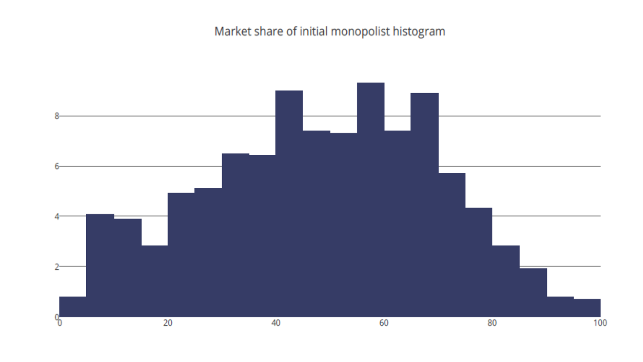Market share of initial monopolist histogram

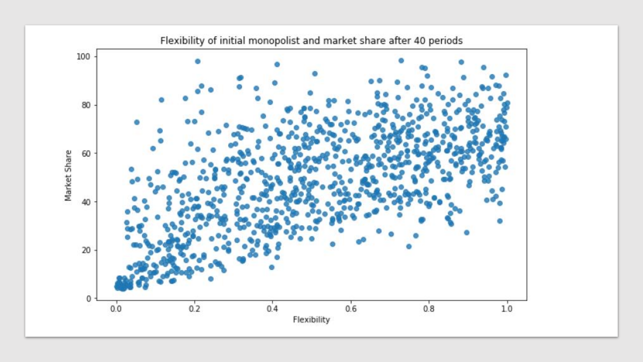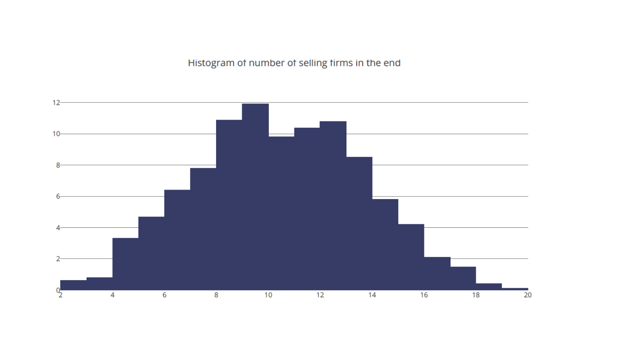Histogram of number of selling firms in the end

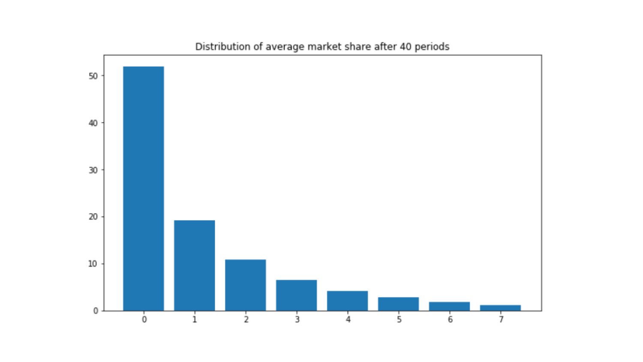

Distribution of average market share after 40 periods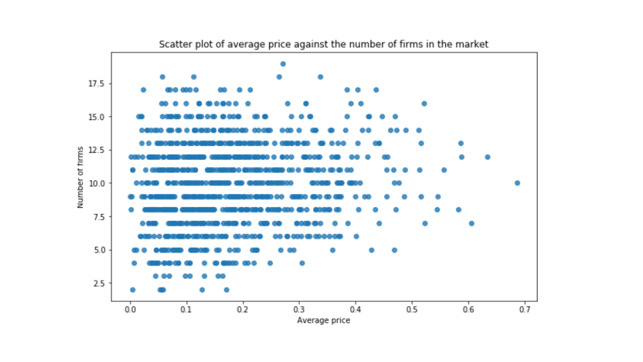

Scatter plot of average price against the number of firms in the market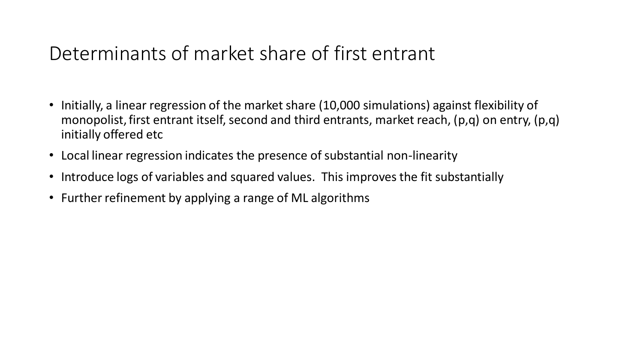## Determinants of market share of first entrant

- Initially, a linear regression of the market share (10,000 simulations) against flexibility of monopolist, first entrant itself, second and third entrants, market reach, (p,q) on entry, (p,q) initially offered etc
- Local linear regression indicates the presence of substantial non-linearity
- Introduce logs of variables and squared values. This improves the fit substantially
- Further refinement by applying a range of ML algorithms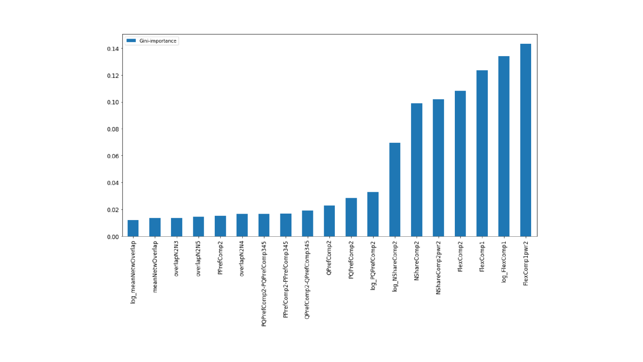